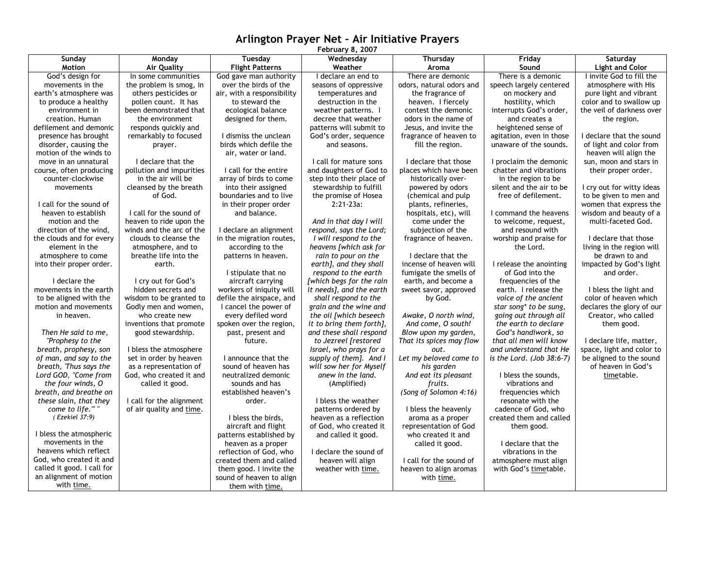## **Arlington Prayer Net – Air Initiative Prayers**

| February 8, 2007                            |                          |                                             |                          |                                                   |                              |                           |
|---------------------------------------------|--------------------------|---------------------------------------------|--------------------------|---------------------------------------------------|------------------------------|---------------------------|
| Sunday                                      | Monday                   | Tuesday                                     | Wednesday                | Thursday                                          | Friday                       | Saturday                  |
| Motion                                      | <b>Air Quality</b>       | <b>Flight Patterns</b>                      | Weather                  | Aroma                                             | Sound                        | <b>Light and Color</b>    |
| God's design for                            | In some communities      | God gave man authority                      | I declare an end to      | There are demonic                                 | There is a demonic           | I invite God to fill the  |
| movements in the                            | the problem is smog, in  | over the birds of the                       | seasons of oppressive    | odors, natural odors and                          | speech largely centered      | atmosphere with His       |
| earth's atmosphere was                      | others pesticides or     | air, with a responsibility                  | temperatures and         | the fragrance of                                  | on mockery and               | pure light and vibrant    |
| to produce a healthy                        | pollen count. It has     | to steward the                              | destruction in the       | heaven. I fiercely                                | hostility, which             | color and to swallow up   |
| environment in                              | been demonstrated that   | ecological balance                          | weather patterns. I      | contest the demonic                               | interrupts God's order,      | the veil of darkness over |
| creation. Human                             | the environment          | designed for them.                          | decree that weather      | odors in the name of                              | and creates a                | the region.               |
| defilement and demonic                      | responds quickly and     |                                             | patterns will submit to  | Jesus, and invite the                             | heightened sense of          |                           |
| presence has brought                        | remarkably to focused    | I dismiss the unclean                       | God's order, sequence    | fragrance of heaven to                            | agitation, even in those     | I declare that the sound  |
| disorder, causing the                       | prayer.                  | birds which defile the                      | and seasons.             | fill the region.                                  | unaware of the sounds.       | of light and color from   |
| motion of the winds to                      |                          | air, water or land.                         |                          |                                                   |                              | heaven will align the     |
| move in an unnatural                        | I declare that the       |                                             | I call for mature sons   | I declare that those                              | I proclaim the demonic       | sun, moon and stars in    |
| course, often producing                     | pollution and impurities | I call for the entire                       | and daughters of God to  | places which have been                            | chatter and vibrations       | their proper order.       |
| counter-clockwise                           | in the air will be       | array of birds to come                      | step into their place of | historically over-                                | in the region to be          |                           |
| movements                                   | cleansed by the breath   | into their assigned                         | stewardship to fulfill   | powered by odors                                  | silent and the air to be     | I cry out for witty ideas |
|                                             | of God.                  | boundaries and to live                      | the promise of Hosea     | (chemical and pulp                                | free of defilement.          | to be given to men and    |
| I call for the sound of                     |                          | in their proper order                       | $2:21-23a$ :             | plants, refineries,                               |                              | women that express the    |
| heaven to establish                         | I call for the sound of  | and balance.                                |                          | hospitals, etc), will                             | I command the heavens        | wisdom and beauty of a    |
| motion and the                              | heaven to ride upon the  |                                             | And in that day I will   | come under the                                    | to welcome, request,         | multi-faceted God.        |
| direction of the wind,                      | winds and the arc of the | I declare an alignment                      | respond, says the Lord;  | subjection of the                                 | and resound with             |                           |
| the clouds and for every                    | clouds to cleanse the    | in the migration routes,                    | I will respond to the    | fragrance of heaven.                              | worship and praise for       | I declare that those      |
| element in the                              | atmosphere, and to       | according to the                            | heavens [which ask for   |                                                   | the Lord.                    | living in the region will |
| atmosphere to come                          | breathe life into the    | patterns in heaven.                         | rain to pour on the      | I declare that the                                |                              | be drawn to and           |
| into their proper order.                    | earth.                   |                                             | earth], and they shall   | incense of heaven will                            | I release the anointing      | impacted by God's light   |
|                                             |                          | I stipulate that no                         | respond to the earth     | fumigate the smells of                            | of God into the              | and order.                |
| I declare the                               | I cry out for God's      | aircraft carrying                           | [which begs for the rain | earth, and become a                               | frequencies of the           |                           |
| movements in the earth                      | hidden secrets and       | workers of iniquity will                    | it needs], and the earth | sweet savor, approved                             | earth. I release the         | I bless the light and     |
| to be aligned with the                      | wisdom to be granted to  | defile the airspace, and                    | shall respond to the     | by God.                                           | voice of the ancient         | color of heaven which     |
| motion and movements                        | Godly men and women,     | I cancel the power of                       | grain and the wine and   |                                                   | star song* to be sung,       | declares the glory of our |
| in heaven.                                  | who create new           | every defiled word                          | the oil [which beseech   | Awake, O north wind,                              | going out through all        | Creator, who called       |
|                                             | inventions that promote  | spoken over the region,                     | it to bring them forth], | And come, O south!                                | the earth to declare         | them good.                |
| Then He said to me,                         | good stewardship.        | past, present and                           | and these shall respond  | Blow upon my garden,                              | God's handiwork, so          |                           |
| "Prophesy to the                            |                          | future.                                     | to Jezreel [restored     | That its spices may flow                          | that all men will know       | I declare life, matter,   |
| breath, prophesy, son                       | I bless the atmosphere   |                                             | Israel, who prays for a  | out.                                              | and understand that He       | space, light and color to |
| of man, and say to the                      | set in order by heaven   | I announce that the                         | supply of them]. And I   | Let my beloved come to                            | is the Lord. (Job $38:6-7$ ) | be aligned to the sound   |
| breath, 'Thus says the                      | as a representation of   | sound of heaven has                         | will sow her for Myself  | his garden                                        |                              | of heaven in God's        |
| Lord GOD, "Come from                        | God, who created it and  | neutralized demonic                         | anew in the land.        | And eat its pleasant                              | I bless the sounds,          | timetable.                |
| the four winds, O                           | called it good.          | sounds and has                              | (Amplified)              | fruits.                                           | vibrations and               |                           |
| breath, and breathe on                      |                          | established heaven's                        |                          | (Song of Solomon 4:16)                            | frequencies which            |                           |
| these slain, that they                      | I call for the alignment | order.                                      | I bless the weather      |                                                   | resonate with the            |                           |
| come to life.""                             | of air quality and time. |                                             | patterns ordered by      | I bless the heavenly                              | cadence of God, who          |                           |
| (Ezekiel 37:9)                              |                          | I bless the birds,                          | heaven as a reflection   | aroma as a proper                                 | created them and called      |                           |
|                                             |                          | aircraft and flight                         | of God, who created it   | representation of God                             | them good.                   |                           |
| I bless the atmospheric<br>movements in the |                          | patterns established by                     | and called it good.      | who created it and                                |                              |                           |
| heavens which reflect                       |                          | heaven as a proper                          |                          | called it good.                                   | I declare that the           |                           |
| God, who created it and                     |                          | reflection of God, who                      | I declare the sound of   |                                                   | vibrations in the            |                           |
| called it good. I call for                  |                          | created them and called                     | heaven will align        | I call for the sound of<br>heaven to align aromas | atmosphere must align        |                           |
| an alignment of motion                      |                          | them good. I invite the                     | weather with time.       |                                                   | with God's timetable.        |                           |
| with time.                                  |                          | sound of heaven to align<br>them with time. |                          | with time.                                        |                              |                           |
|                                             |                          |                                             |                          |                                                   |                              |                           |